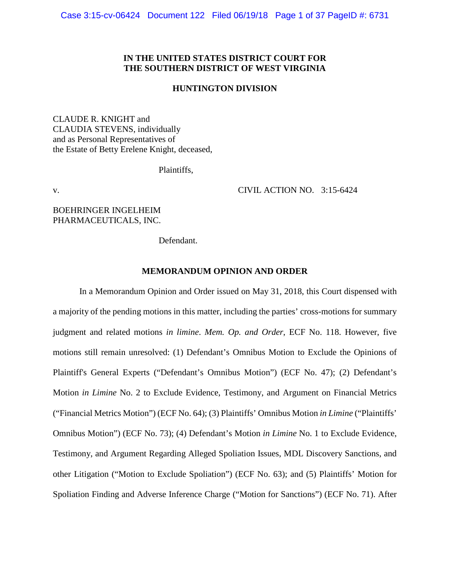# **IN THE UNITED STATES DISTRICT COURT FOR THE SOUTHERN DISTRICT OF WEST VIRGINIA**

### **HUNTINGTON DIVISION**

CLAUDE R. KNIGHT and CLAUDIA STEVENS, individually and as Personal Representatives of the Estate of Betty Erelene Knight, deceased,

Plaintiffs,

v. CIVIL ACTION NO. 3:15-6424

BOEHRINGER INGELHEIM PHARMACEUTICALS, INC.

Defendant.

## **MEMORANDUM OPINION AND ORDER**

In a Memorandum Opinion and Order issued on May 31, 2018, this Court dispensed with a majority of the pending motions in this matter, including the parties' cross-motions for summary judgment and related motions *in limine*. *Mem. Op. and Order*, ECF No. 118. However, five motions still remain unresolved: (1) Defendant's Omnibus Motion to Exclude the Opinions of Plaintiff's General Experts ("Defendant's Omnibus Motion") (ECF No. 47); (2) Defendant's Motion *in Limine* No. 2 to Exclude Evidence, Testimony, and Argument on Financial Metrics ("Financial Metrics Motion") (ECF No. 64); (3) Plaintiffs' Omnibus Motion *in Limine* ("Plaintiffs' Omnibus Motion") (ECF No. 73); (4) Defendant's Motion *in Limine* No. 1 to Exclude Evidence, Testimony, and Argument Regarding Alleged Spoliation Issues, MDL Discovery Sanctions, and other Litigation ("Motion to Exclude Spoliation") (ECF No. 63); and (5) Plaintiffs' Motion for Spoliation Finding and Adverse Inference Charge ("Motion for Sanctions") (ECF No. 71). After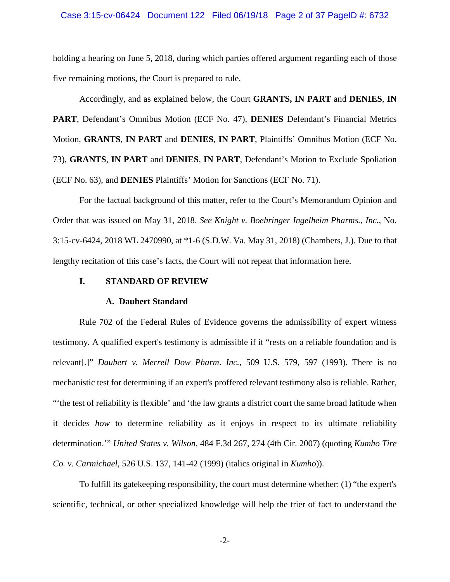holding a hearing on June 5, 2018, during which parties offered argument regarding each of those five remaining motions, the Court is prepared to rule.

Accordingly, and as explained below, the Court **GRANTS, IN PART** and **DENIES**, **IN PART**, Defendant's Omnibus Motion (ECF No. 47), **DENIES** Defendant's Financial Metrics Motion, **GRANTS**, **IN PART** and **DENIES**, **IN PART**, Plaintiffs' Omnibus Motion (ECF No. 73), **GRANTS**, **IN PART** and **DENIES**, **IN PART**, Defendant's Motion to Exclude Spoliation (ECF No. 63), and **DENIES** Plaintiffs' Motion for Sanctions (ECF No. 71).

For the factual background of this matter, refer to the Court's Memorandum Opinion and Order that was issued on May 31, 2018. *See Knight v. Boehringer Ingelheim Pharms., Inc.*, No. 3:15-cv-6424, 2018 WL 2470990, at \*1-6 (S.D.W. Va. May 31, 2018) (Chambers, J.). Due to that lengthy recitation of this case's facts, the Court will not repeat that information here.

# **I. STANDARD OF REVIEW**

### **A. Daubert Standard**

Rule 702 of the Federal Rules of Evidence governs the admissibility of expert witness testimony. A qualified expert's testimony is admissible if it "rests on a reliable foundation and is relevant[.]" *Daubert v. Merrell Dow Pharm*. *Inc.*, 509 U.S. 579, 597 (1993). There is no mechanistic test for determining if an expert's proffered relevant testimony also is reliable. Rather, "'the test of reliability is flexible' and 'the law grants a district court the same broad latitude when it decides *how* to determine reliability as it enjoys in respect to its ultimate reliability determination.'" *United States v. Wilson*, 484 F.3d 267, 274 (4th Cir. 2007) (quoting *Kumho Tire Co. v. Carmichael*, 526 U.S. 137, 141-42 (1999) (italics original in *Kumho*)).

To fulfill its gatekeeping responsibility, the court must determine whether: (1) "the expert's scientific, technical, or other specialized knowledge will help the trier of fact to understand the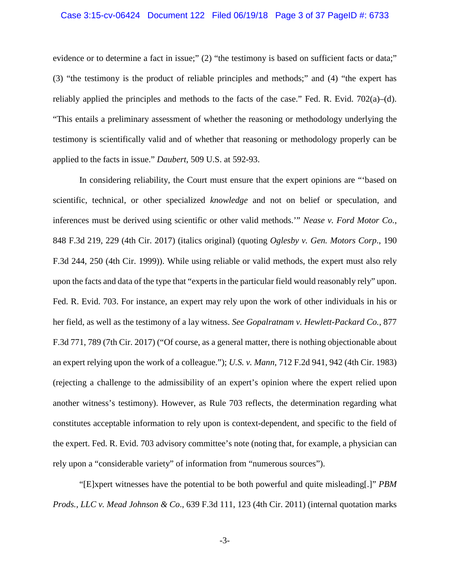### Case 3:15-cv-06424 Document 122 Filed 06/19/18 Page 3 of 37 PageID #: 6733

evidence or to determine a fact in issue;" (2) "the testimony is based on sufficient facts or data;" (3) "the testimony is the product of reliable principles and methods;" and (4) "the expert has reliably applied the principles and methods to the facts of the case." Fed. R. Evid.  $702(a)$ –(d). "This entails a preliminary assessment of whether the reasoning or methodology underlying the testimony is scientifically valid and of whether that reasoning or methodology properly can be applied to the facts in issue." *Daubert*, 509 U.S. at 592-93.

In considering reliability, the Court must ensure that the expert opinions are "'based on scientific, technical, or other specialized *knowledge* and not on belief or speculation, and inferences must be derived using scientific or other valid methods.'" *Nease v. Ford Motor Co.*, 848 F.3d 219, 229 (4th Cir. 2017) (italics original) (quoting *Oglesby v. Gen. Motors Corp*., 190 F.3d 244, 250 (4th Cir. 1999)). While using reliable or valid methods, the expert must also rely upon the facts and data of the type that "experts in the particular field would reasonably rely" upon. Fed. R. Evid. 703. For instance, an expert may rely upon the work of other individuals in his or her field, as well as the testimony of a lay witness. *See Gopalratnam v. Hewlett-Packard Co.*, 877 F.3d 771, 789 (7th Cir. 2017) ("Of course, as a general matter, there is nothing objectionable about an expert relying upon the work of a colleague."); *U.S. v. Mann*, 712 F.2d 941, 942 (4th Cir. 1983) (rejecting a challenge to the admissibility of an expert's opinion where the expert relied upon another witness's testimony). However, as Rule 703 reflects, the determination regarding what constitutes acceptable information to rely upon is context-dependent, and specific to the field of the expert. Fed. R. Evid. 703 advisory committee's note (noting that, for example, a physician can rely upon a "considerable variety" of information from "numerous sources").

"[E]xpert witnesses have the potential to be both powerful and quite misleading[.]" *PBM Prods., LLC v. Mead Johnson & Co*., 639 F.3d 111, 123 (4th Cir. 2011) (internal quotation marks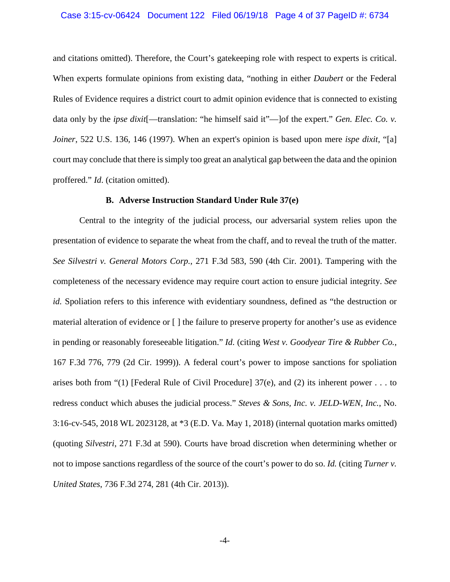### Case 3:15-cv-06424 Document 122 Filed 06/19/18 Page 4 of 37 PageID #: 6734

and citations omitted). Therefore, the Court's gatekeeping role with respect to experts is critical. When experts formulate opinions from existing data, "nothing in either *Daubert* or the Federal Rules of Evidence requires a district court to admit opinion evidence that is connected to existing data only by the *ipse dixit*<sup>[</sup>—translation: "he himself said it"—]of the expert." *Gen. Elec. Co. v. Joiner*, 522 U.S. 136, 146 (1997). When an expert's opinion is based upon mere *ispe dixit*, "[a] court may conclude that there is simply too great an analytical gap between the data and the opinion proffered." *Id*. (citation omitted).

### **B. Adverse Instruction Standard Under Rule 37(e)**

Central to the integrity of the judicial process, our adversarial system relies upon the presentation of evidence to separate the wheat from the chaff, and to reveal the truth of the matter. *See Silvestri v. General Motors Corp.*, 271 F.3d 583, 590 (4th Cir. 2001). Tampering with the completeness of the necessary evidence may require court action to ensure judicial integrity. *See id.* Spoliation refers to this inference with evidentiary soundness, defined as "the destruction or material alteration of evidence or [ ] the failure to preserve property for another's use as evidence in pending or reasonably foreseeable litigation." *Id.* (citing *West v. Goodyear Tire & Rubber Co.*, 167 F.3d 776, 779 (2d Cir. 1999)). A federal court's power to impose sanctions for spoliation arises both from "(1) [Federal Rule of Civil Procedure]  $37(e)$ , and (2) its inherent power . . . to redress conduct which abuses the judicial process." *Steves & Sons, Inc. v. JELD-WEN, Inc.*, No. 3:16-cv-545, 2018 WL 2023128, at \*3 (E.D. Va. May 1, 2018) (internal quotation marks omitted) (quoting *Silvestri*, 271 F.3d at 590). Courts have broad discretion when determining whether or not to impose sanctions regardless of the source of the court's power to do so. *Id.* (citing *Turner v. United States*, 736 F.3d 274, 281 (4th Cir. 2013)).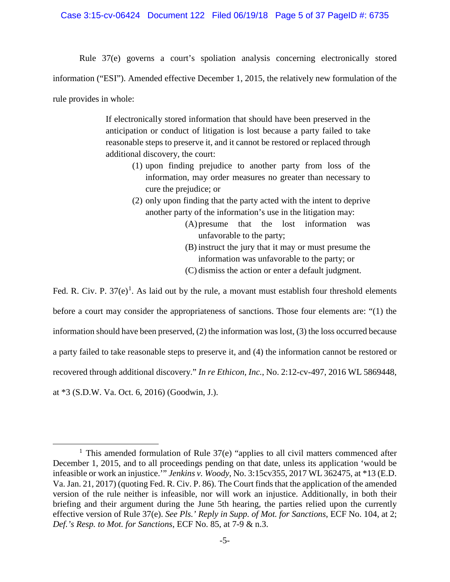# Case 3:15-cv-06424 Document 122 Filed 06/19/18 Page 5 of 37 PageID #: 6735

Rule 37(e) governs a court's spoliation analysis concerning electronically stored information ("ESI"). Amended effective December 1, 2015, the relatively new formulation of the rule provides in whole:

> If electronically stored information that should have been preserved in the anticipation or conduct of litigation is lost because a party failed to take reasonable steps to preserve it, and it cannot be restored or replaced through additional discovery, the court:

- (1) upon finding prejudice to another party from loss of the information, may order measures no greater than necessary to cure the prejudice; or
- (2) only upon finding that the party acted with the intent to deprive another party of the information's use in the litigation may:
	- (A)presume that the lost information was unfavorable to the party;
	- (B) instruct the jury that it may or must presume the information was unfavorable to the party; or
	- (C) dismiss the action or enter a default judgment.

Fed. R. Civ. P.  $37(e)^1$ . As laid out by the rule, a movant must establish four threshold elements before a court may consider the appropriateness of sanctions. Those four elements are: "(1) the information should have been preserved, (2) the information was lost, (3) the loss occurred because a party failed to take reasonable steps to preserve it, and (4) the information cannot be restored or recovered through additional discovery." *In re Ethicon, Inc.*, No. 2:12-cv-497, 2016 WL 5869448, at \*3 (S.D.W. Va. Oct. 6, 2016) (Goodwin, J.).

<sup>&</sup>lt;sup>1</sup> This amended formulation of Rule  $37(e)$  "applies to all civil matters commenced after December 1, 2015, and to all proceedings pending on that date, unless its application 'would be infeasible or work an injustice.'" *Jenkins v. Woody*, No. 3:15cv355, 2017 WL 362475, at \*13 (E.D. Va. Jan. 21, 2017) (quoting Fed. R. Civ. P. 86). The Court finds that the application of the amended version of the rule neither is infeasible, nor will work an injustice. Additionally, in both their briefing and their argument during the June 5th hearing, the parties relied upon the currently effective version of Rule 37(e). *See Pls.' Reply in Supp. of Mot. for Sanctions*, ECF No. 104, at 2; *Def.'s Resp. to Mot. for Sanctions*, ECF No. 85, at 7-9 & n.3.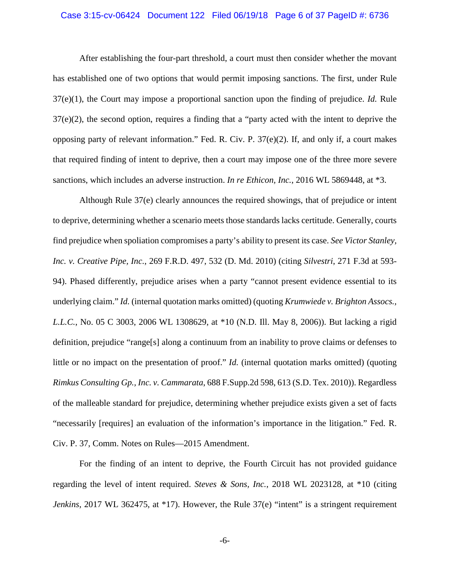### Case 3:15-cv-06424 Document 122 Filed 06/19/18 Page 6 of 37 PageID #: 6736

After establishing the four-part threshold, a court must then consider whether the movant has established one of two options that would permit imposing sanctions. The first, under Rule 37(e)(1), the Court may impose a proportional sanction upon the finding of prejudice. *Id.* Rule 37(e)(2), the second option, requires a finding that a "party acted with the intent to deprive the opposing party of relevant information." Fed. R. Civ. P. 37(e)(2). If, and only if, a court makes that required finding of intent to deprive, then a court may impose one of the three more severe sanctions, which includes an adverse instruction. *In re Ethicon, Inc.*, 2016 WL 5869448, at \*3.

Although Rule 37(e) clearly announces the required showings, that of prejudice or intent to deprive, determining whether a scenario meets those standards lacks certitude. Generally, courts find prejudice when spoliation compromises a party's ability to present its case. *See Victor Stanley, Inc. v. Creative Pipe, Inc.*, 269 F.R.D. 497, 532 (D. Md. 2010) (citing *Silvestri*, 271 F.3d at 593- 94). Phased differently, prejudice arises when a party "cannot present evidence essential to its underlying claim." *Id.* (internal quotation marks omitted) (quoting *Krumwiede v. Brighton Assocs., L.L.C.*, No. 05 C 3003, 2006 WL 1308629, at \*10 (N.D. Ill. May 8, 2006)). But lacking a rigid definition, prejudice "range[s] along a continuum from an inability to prove claims or defenses to little or no impact on the presentation of proof." *Id.* (internal quotation marks omitted) (quoting *Rimkus Consulting Gp., Inc. v. Cammarata*, 688 F.Supp.2d 598, 613 (S.D. Tex. 2010)). Regardless of the malleable standard for prejudice, determining whether prejudice exists given a set of facts "necessarily [requires] an evaluation of the information's importance in the litigation." Fed. R. Civ. P. 37, Comm. Notes on Rules—2015 Amendment.

For the finding of an intent to deprive, the Fourth Circuit has not provided guidance regarding the level of intent required. *Steves & Sons, Inc.*, 2018 WL 2023128, at \*10 (citing *Jenkins*, 2017 WL 362475, at \*17). However, the Rule 37(e) "intent" is a stringent requirement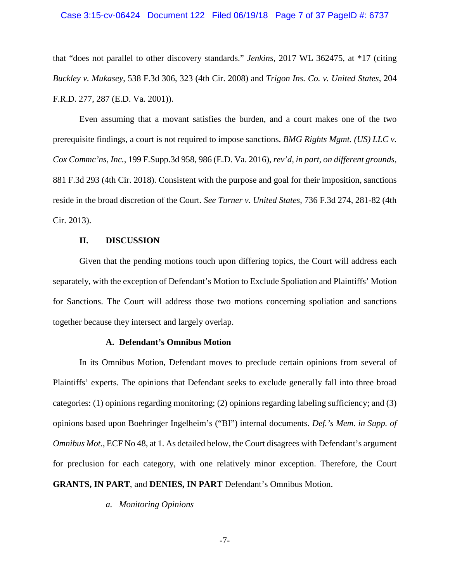### Case 3:15-cv-06424 Document 122 Filed 06/19/18 Page 7 of 37 PageID #: 6737

that "does not parallel to other discovery standards." *Jenkins*, 2017 WL 362475, at \*17 (citing *Buckley v. Mukasey*, 538 F.3d 306, 323 (4th Cir. 2008) and *Trigon Ins. Co. v. United States*, 204 F.R.D. 277, 287 (E.D. Va. 2001)).

Even assuming that a movant satisfies the burden, and a court makes one of the two prerequisite findings, a court is not required to impose sanctions. *BMG Rights Mgmt. (US) LLC v. Cox Commc'ns, Inc.*, 199 F.Supp.3d 958, 986 (E.D. Va. 2016), *rev'd, in part, on different grounds*, 881 F.3d 293 (4th Cir. 2018). Consistent with the purpose and goal for their imposition, sanctions reside in the broad discretion of the Court. *See Turner v. United States*, 736 F.3d 274, 281-82 (4th Cir. 2013).

#### **II. DISCUSSION**

Given that the pending motions touch upon differing topics, the Court will address each separately, with the exception of Defendant's Motion to Exclude Spoliation and Plaintiffs' Motion for Sanctions. The Court will address those two motions concerning spoliation and sanctions together because they intersect and largely overlap.

#### **A. Defendant's Omnibus Motion**

In its Omnibus Motion, Defendant moves to preclude certain opinions from several of Plaintiffs' experts. The opinions that Defendant seeks to exclude generally fall into three broad categories: (1) opinions regarding monitoring; (2) opinions regarding labeling sufficiency; and (3) opinions based upon Boehringer Ingelheim's ("BI") internal documents. *Def.'s Mem. in Supp. of Omnibus Mot.*, ECF No 48, at 1. As detailed below, the Court disagrees with Defendant's argument for preclusion for each category, with one relatively minor exception. Therefore, the Court **GRANTS, IN PART**, and **DENIES, IN PART** Defendant's Omnibus Motion.

*a. Monitoring Opinions*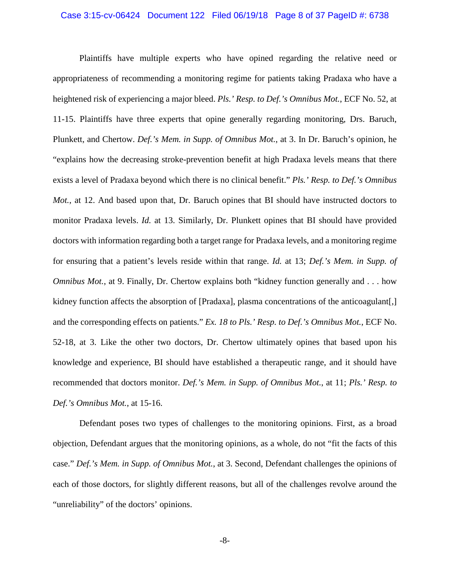### Case 3:15-cv-06424 Document 122 Filed 06/19/18 Page 8 of 37 PageID #: 6738

Plaintiffs have multiple experts who have opined regarding the relative need or appropriateness of recommending a monitoring regime for patients taking Pradaxa who have a heightened risk of experiencing a major bleed. *Pls.' Resp. to Def.'s Omnibus Mot.*, ECF No. 52, at 11-15. Plaintiffs have three experts that opine generally regarding monitoring, Drs. Baruch, Plunkett, and Chertow. *Def.'s Mem. in Supp. of Omnibus Mot.*, at 3. In Dr. Baruch's opinion, he "explains how the decreasing stroke-prevention benefit at high Pradaxa levels means that there exists a level of Pradaxa beyond which there is no clinical benefit." *Pls.' Resp. to Def.'s Omnibus Mot.*, at 12. And based upon that, Dr. Baruch opines that BI should have instructed doctors to monitor Pradaxa levels. *Id.* at 13. Similarly, Dr. Plunkett opines that BI should have provided doctors with information regarding both a target range for Pradaxa levels, and a monitoring regime for ensuring that a patient's levels reside within that range. *Id.* at 13; *Def.'s Mem. in Supp. of Omnibus Mot.*, at 9. Finally, Dr. Chertow explains both "kidney function generally and . . . how kidney function affects the absorption of [Pradaxa], plasma concentrations of the anticoagulant[,] and the corresponding effects on patients." *Ex. 18 to Pls.' Resp. to Def.'s Omnibus Mot.*, ECF No. 52-18, at 3. Like the other two doctors, Dr. Chertow ultimately opines that based upon his knowledge and experience, BI should have established a therapeutic range, and it should have recommended that doctors monitor. *Def.'s Mem. in Supp. of Omnibus Mot.*, at 11; *Pls.' Resp. to Def.'s Omnibus Mot.*, at 15-16.

Defendant poses two types of challenges to the monitoring opinions. First, as a broad objection, Defendant argues that the monitoring opinions, as a whole, do not "fit the facts of this case." *Def.'s Mem. in Supp. of Omnibus Mot.*, at 3. Second, Defendant challenges the opinions of each of those doctors, for slightly different reasons, but all of the challenges revolve around the "unreliability" of the doctors' opinions.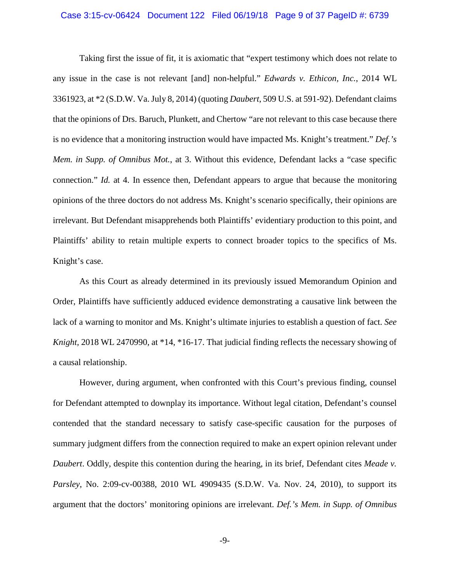### Case 3:15-cv-06424 Document 122 Filed 06/19/18 Page 9 of 37 PageID #: 6739

Taking first the issue of fit, it is axiomatic that "expert testimony which does not relate to any issue in the case is not relevant [and] non-helpful." *Edwards v. Ethicon, Inc.*, 2014 WL 3361923, at \*2 (S.D.W. Va. July 8, 2014) (quoting *Daubert*, 509 U.S. at 591-92). Defendant claims that the opinions of Drs. Baruch, Plunkett, and Chertow "are not relevant to this case because there is no evidence that a monitoring instruction would have impacted Ms. Knight's treatment." *Def.'s Mem. in Supp. of Omnibus Mot.*, at 3. Without this evidence, Defendant lacks a "case specific connection." *Id.* at 4. In essence then, Defendant appears to argue that because the monitoring opinions of the three doctors do not address Ms. Knight's scenario specifically, their opinions are irrelevant. But Defendant misapprehends both Plaintiffs' evidentiary production to this point, and Plaintiffs' ability to retain multiple experts to connect broader topics to the specifics of Ms. Knight's case.

As this Court as already determined in its previously issued Memorandum Opinion and Order, Plaintiffs have sufficiently adduced evidence demonstrating a causative link between the lack of a warning to monitor and Ms. Knight's ultimate injuries to establish a question of fact. *See Knight,* 2018 WL 2470990, at \*14, \*16-17. That judicial finding reflects the necessary showing of a causal relationship.

However, during argument, when confronted with this Court's previous finding, counsel for Defendant attempted to downplay its importance. Without legal citation, Defendant's counsel contended that the standard necessary to satisfy case-specific causation for the purposes of summary judgment differs from the connection required to make an expert opinion relevant under *Daubert*. Oddly, despite this contention during the hearing, in its brief, Defendant cites *Meade v. Parsley*, No. 2:09-cv-00388, 2010 WL 4909435 (S.D.W. Va. Nov. 24, 2010), to support its argument that the doctors' monitoring opinions are irrelevant. *Def.'s Mem. in Supp. of Omnibus*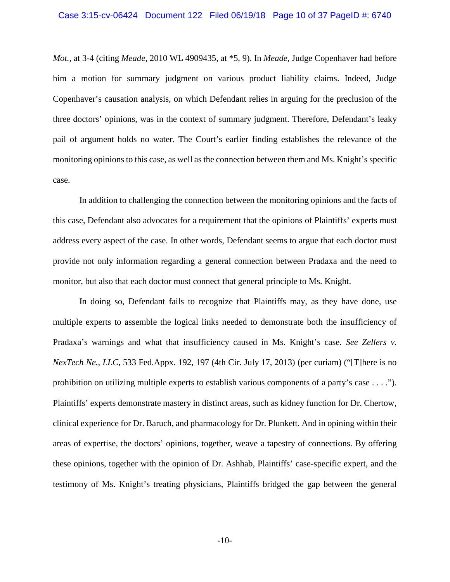*Mot.*, at 3-4 (citing *Meade*, 2010 WL 4909435, at \*5, 9). In *Meade*, Judge Copenhaver had before him a motion for summary judgment on various product liability claims. Indeed, Judge Copenhaver's causation analysis, on which Defendant relies in arguing for the preclusion of the three doctors' opinions, was in the context of summary judgment. Therefore, Defendant's leaky pail of argument holds no water. The Court's earlier finding establishes the relevance of the monitoring opinions to this case, as well as the connection between them and Ms. Knight's specific case.

In addition to challenging the connection between the monitoring opinions and the facts of this case, Defendant also advocates for a requirement that the opinions of Plaintiffs' experts must address every aspect of the case. In other words, Defendant seems to argue that each doctor must provide not only information regarding a general connection between Pradaxa and the need to monitor, but also that each doctor must connect that general principle to Ms. Knight.

In doing so, Defendant fails to recognize that Plaintiffs may, as they have done, use multiple experts to assemble the logical links needed to demonstrate both the insufficiency of Pradaxa's warnings and what that insufficiency caused in Ms. Knight's case. *See Zellers v. NexTech Ne., LLC*, 533 Fed.Appx. 192, 197 (4th Cir. July 17, 2013) (per curiam) ("[T]here is no prohibition on utilizing multiple experts to establish various components of a party's case . . . ."). Plaintiffs' experts demonstrate mastery in distinct areas, such as kidney function for Dr. Chertow, clinical experience for Dr. Baruch, and pharmacology for Dr. Plunkett. And in opining within their areas of expertise, the doctors' opinions, together, weave a tapestry of connections. By offering these opinions, together with the opinion of Dr. Ashhab, Plaintiffs' case-specific expert, and the testimony of Ms. Knight's treating physicians, Plaintiffs bridged the gap between the general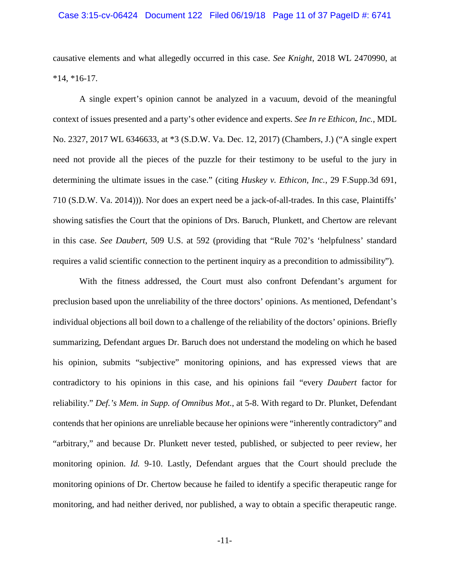### Case 3:15-cv-06424 Document 122 Filed 06/19/18 Page 11 of 37 PageID #: 6741

causative elements and what allegedly occurred in this case. *See Knight*, 2018 WL 2470990, at  $*14, *16-17.$ 

A single expert's opinion cannot be analyzed in a vacuum, devoid of the meaningful context of issues presented and a party's other evidence and experts. *See In re Ethicon, Inc.*, MDL No. 2327, 2017 WL 6346633, at \*3 (S.D.W. Va. Dec. 12, 2017) (Chambers, J.) ("A single expert need not provide all the pieces of the puzzle for their testimony to be useful to the jury in determining the ultimate issues in the case." (citing *Huskey v. Ethicon, Inc.*, 29 F.Supp.3d 691, 710 (S.D.W. Va. 2014))). Nor does an expert need be a jack-of-all-trades. In this case, Plaintiffs' showing satisfies the Court that the opinions of Drs. Baruch, Plunkett, and Chertow are relevant in this case. *See Daubert*, 509 U.S. at 592 (providing that "Rule 702's 'helpfulness' standard requires a valid scientific connection to the pertinent inquiry as a precondition to admissibility").

With the fitness addressed, the Court must also confront Defendant's argument for preclusion based upon the unreliability of the three doctors' opinions. As mentioned, Defendant's individual objections all boil down to a challenge of the reliability of the doctors' opinions. Briefly summarizing, Defendant argues Dr. Baruch does not understand the modeling on which he based his opinion, submits "subjective" monitoring opinions, and has expressed views that are contradictory to his opinions in this case, and his opinions fail "every *Daubert* factor for reliability." *Def.'s Mem. in Supp. of Omnibus Mot.*, at 5-8. With regard to Dr. Plunket, Defendant contends that her opinions are unreliable because her opinions were "inherently contradictory" and "arbitrary," and because Dr. Plunkett never tested, published, or subjected to peer review, her monitoring opinion. *Id.* 9-10. Lastly, Defendant argues that the Court should preclude the monitoring opinions of Dr. Chertow because he failed to identify a specific therapeutic range for monitoring, and had neither derived, nor published, a way to obtain a specific therapeutic range.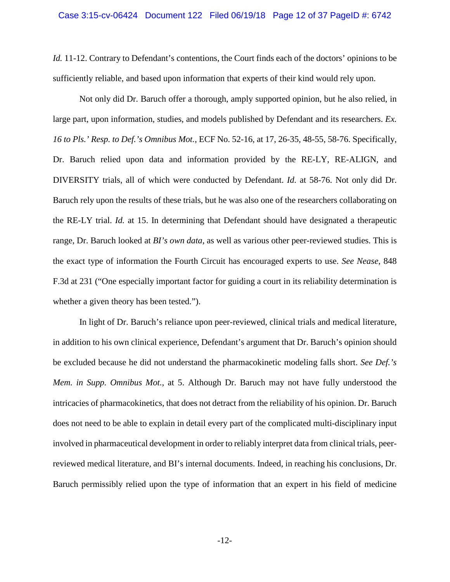*Id.* 11-12. Contrary to Defendant's contentions, the Court finds each of the doctors' opinions to be sufficiently reliable, and based upon information that experts of their kind would rely upon.

Not only did Dr. Baruch offer a thorough, amply supported opinion, but he also relied, in large part, upon information, studies, and models published by Defendant and its researchers. *Ex. 16 to Pls.' Resp. to Def.'s Omnibus Mot.*, ECF No. 52-16, at 17, 26-35, 48-55, 58-76. Specifically, Dr. Baruch relied upon data and information provided by the RE-LY, RE-ALIGN, and DIVERSITY trials, all of which were conducted by Defendant. *Id.* at 58-76. Not only did Dr. Baruch rely upon the results of these trials, but he was also one of the researchers collaborating on the RE-LY trial. *Id.* at 15. In determining that Defendant should have designated a therapeutic range, Dr. Baruch looked at *BI's own data*, as well as various other peer-reviewed studies. This is the exact type of information the Fourth Circuit has encouraged experts to use. *See Nease*, 848 F.3d at 231 ("One especially important factor for guiding a court in its reliability determination is whether a given theory has been tested.").

In light of Dr. Baruch's reliance upon peer-reviewed, clinical trials and medical literature, in addition to his own clinical experience, Defendant's argument that Dr. Baruch's opinion should be excluded because he did not understand the pharmacokinetic modeling falls short. *See Def.'s Mem. in Supp. Omnibus Mot.*, at 5. Although Dr. Baruch may not have fully understood the intricacies of pharmacokinetics, that does not detract from the reliability of his opinion. Dr. Baruch does not need to be able to explain in detail every part of the complicated multi-disciplinary input involved in pharmaceutical development in order to reliably interpret data from clinical trials, peerreviewed medical literature, and BI's internal documents. Indeed, in reaching his conclusions, Dr. Baruch permissibly relied upon the type of information that an expert in his field of medicine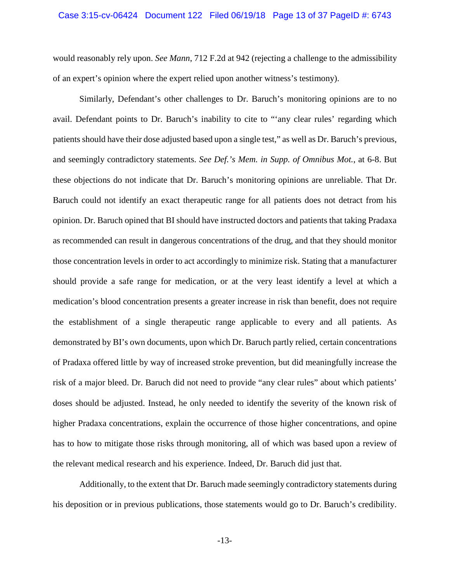would reasonably rely upon. *See Mann*, 712 F.2d at 942 (rejecting a challenge to the admissibility of an expert's opinion where the expert relied upon another witness's testimony).

Similarly, Defendant's other challenges to Dr. Baruch's monitoring opinions are to no avail. Defendant points to Dr. Baruch's inability to cite to "'any clear rules' regarding which patients should have their dose adjusted based upon a single test," as well as Dr. Baruch's previous, and seemingly contradictory statements. *See Def.'s Mem. in Supp. of Omnibus Mot.*, at 6-8. But these objections do not indicate that Dr. Baruch's monitoring opinions are unreliable. That Dr. Baruch could not identify an exact therapeutic range for all patients does not detract from his opinion. Dr. Baruch opined that BI should have instructed doctors and patients that taking Pradaxa as recommended can result in dangerous concentrations of the drug, and that they should monitor those concentration levels in order to act accordingly to minimize risk. Stating that a manufacturer should provide a safe range for medication, or at the very least identify a level at which a medication's blood concentration presents a greater increase in risk than benefit, does not require the establishment of a single therapeutic range applicable to every and all patients. As demonstrated by BI's own documents, upon which Dr. Baruch partly relied, certain concentrations of Pradaxa offered little by way of increased stroke prevention, but did meaningfully increase the risk of a major bleed. Dr. Baruch did not need to provide "any clear rules" about which patients' doses should be adjusted. Instead, he only needed to identify the severity of the known risk of higher Pradaxa concentrations, explain the occurrence of those higher concentrations, and opine has to how to mitigate those risks through monitoring, all of which was based upon a review of the relevant medical research and his experience. Indeed, Dr. Baruch did just that.

Additionally, to the extent that Dr. Baruch made seemingly contradictory statements during his deposition or in previous publications, those statements would go to Dr. Baruch's credibility.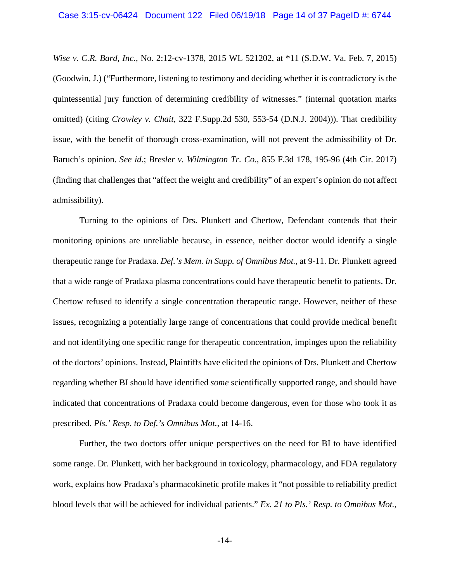*Wise v. C.R. Bard, Inc.*, No. 2:12-cv-1378, 2015 WL 521202, at \*11 (S.D.W. Va. Feb. 7, 2015) (Goodwin, J.) ("Furthermore, listening to testimony and deciding whether it is contradictory is the quintessential jury function of determining credibility of witnesses." (internal quotation marks omitted) (citing *Crowley v. Chait*, 322 F.Supp.2d 530, 553-54 (D.N.J. 2004))). That credibility issue, with the benefit of thorough cross-examination, will not prevent the admissibility of Dr. Baruch's opinion. *See id.*; *Bresler v. Wilmington Tr. Co.*, 855 F.3d 178, 195-96 (4th Cir. 2017) (finding that challenges that "affect the weight and credibility" of an expert's opinion do not affect admissibility).

Turning to the opinions of Drs. Plunkett and Chertow, Defendant contends that their monitoring opinions are unreliable because, in essence, neither doctor would identify a single therapeutic range for Pradaxa. *Def.'s Mem. in Supp. of Omnibus Mot.*, at 9-11. Dr. Plunkett agreed that a wide range of Pradaxa plasma concentrations could have therapeutic benefit to patients. Dr. Chertow refused to identify a single concentration therapeutic range. However, neither of these issues, recognizing a potentially large range of concentrations that could provide medical benefit and not identifying one specific range for therapeutic concentration, impinges upon the reliability of the doctors' opinions. Instead, Plaintiffs have elicited the opinions of Drs. Plunkett and Chertow regarding whether BI should have identified *some* scientifically supported range, and should have indicated that concentrations of Pradaxa could become dangerous, even for those who took it as prescribed. *Pls.' Resp. to Def.'s Omnibus Mot.*, at 14-16.

Further, the two doctors offer unique perspectives on the need for BI to have identified some range. Dr. Plunkett, with her background in toxicology, pharmacology, and FDA regulatory work, explains how Pradaxa's pharmacokinetic profile makes it "not possible to reliability predict blood levels that will be achieved for individual patients." *Ex. 21 to Pls.' Resp. to Omnibus Mot.*,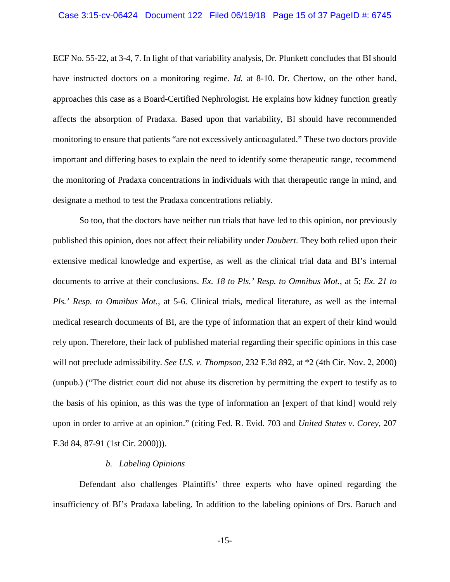ECF No. 55-22, at 3-4, 7. In light of that variability analysis, Dr. Plunkett concludes that BI should have instructed doctors on a monitoring regime. *Id.* at 8-10. Dr. Chertow, on the other hand, approaches this case as a Board-Certified Nephrologist. He explains how kidney function greatly affects the absorption of Pradaxa. Based upon that variability, BI should have recommended monitoring to ensure that patients "are not excessively anticoagulated." These two doctors provide important and differing bases to explain the need to identify some therapeutic range, recommend the monitoring of Pradaxa concentrations in individuals with that therapeutic range in mind, and designate a method to test the Pradaxa concentrations reliably.

So too, that the doctors have neither run trials that have led to this opinion, nor previously published this opinion, does not affect their reliability under *Daubert*. They both relied upon their extensive medical knowledge and expertise, as well as the clinical trial data and BI's internal documents to arrive at their conclusions. *Ex. 18 to Pls.' Resp. to Omnibus Mot.*, at 5; *Ex. 21 to Pls.' Resp. to Omnibus Mot.*, at 5-6. Clinical trials, medical literature, as well as the internal medical research documents of BI, are the type of information that an expert of their kind would rely upon. Therefore, their lack of published material regarding their specific opinions in this case will not preclude admissibility. *See U.S. v. Thompson*, 232 F.3d 892, at \*2 (4th Cir. Nov. 2, 2000) (unpub.) ("The district court did not abuse its discretion by permitting the expert to testify as to the basis of his opinion, as this was the type of information an [expert of that kind] would rely upon in order to arrive at an opinion." (citing Fed. R. Evid. 703 and *United States v. Corey*, 207 F.3d 84, 87-91 (1st Cir. 2000))).

### *b. Labeling Opinions*

Defendant also challenges Plaintiffs' three experts who have opined regarding the insufficiency of BI's Pradaxa labeling. In addition to the labeling opinions of Drs. Baruch and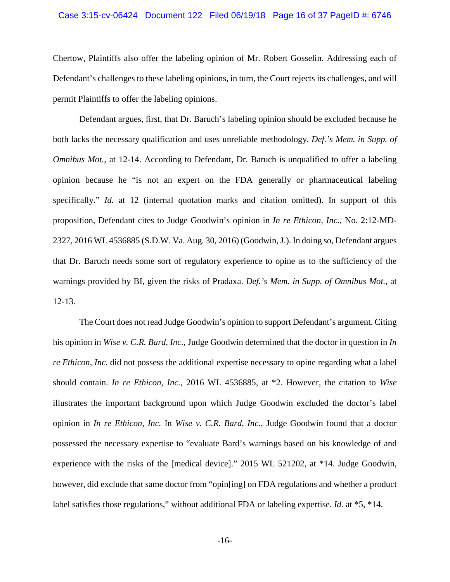### Case 3:15-cv-06424 Document 122 Filed 06/19/18 Page 16 of 37 PageID #: 6746

Chertow, Plaintiffs also offer the labeling opinion of Mr. Robert Gosselin. Addressing each of Defendant's challenges to these labeling opinions, in turn, the Court rejects its challenges, and will permit Plaintiffs to offer the labeling opinions.

Defendant argues, first, that Dr. Baruch's labeling opinion should be excluded because he both lacks the necessary qualification and uses unreliable methodology. *Def.'s Mem. in Supp. of Omnibus Mot.*, at 12-14. According to Defendant, Dr. Baruch is unqualified to offer a labeling opinion because he "is not an expert on the FDA generally or pharmaceutical labeling specifically." *Id.* at 12 (internal quotation marks and citation omitted). In support of this proposition, Defendant cites to Judge Goodwin's opinion in *In re Ethicon, Inc.*, No. 2:12-MD-2327, 2016 WL 4536885 (S.D.W. Va. Aug. 30, 2016) (Goodwin, J.). In doing so, Defendant argues that Dr. Baruch needs some sort of regulatory experience to opine as to the sufficiency of the warnings provided by BI, given the risks of Pradaxa. *Def.'s Mem. in Supp. of Omnibus Mot.*, at 12-13.

The Court does not read Judge Goodwin's opinion to support Defendant's argument. Citing his opinion in *Wise v. C.R. Bard, Inc.*, Judge Goodwin determined that the doctor in question in *In re Ethicon, Inc.* did not possess the additional expertise necessary to opine regarding what a label should contain. *In re Ethicon, Inc.*, 2016 WL 4536885, at \*2. However, the citation to *Wise* illustrates the important background upon which Judge Goodwin excluded the doctor's label opinion in *In re Ethicon, Inc.* In *Wise v. C.R. Bard, Inc.*, Judge Goodwin found that a doctor possessed the necessary expertise to "evaluate Bard's warnings based on his knowledge of and experience with the risks of the [medical device]." 2015 WL 521202, at \*14. Judge Goodwin, however, did exclude that same doctor from "opin[ing] on FDA regulations and whether a product label satisfies those regulations," without additional FDA or labeling expertise. *Id.* at \*5, \*14.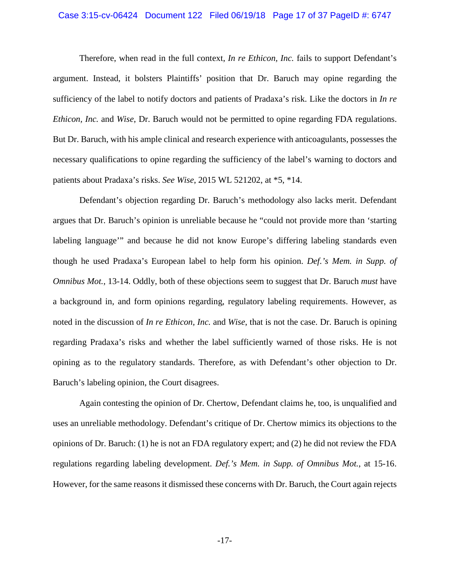### Case 3:15-cv-06424 Document 122 Filed 06/19/18 Page 17 of 37 PageID #: 6747

Therefore, when read in the full context, *In re Ethicon, Inc.* fails to support Defendant's argument. Instead, it bolsters Plaintiffs' position that Dr. Baruch may opine regarding the sufficiency of the label to notify doctors and patients of Pradaxa's risk. Like the doctors in *In re Ethicon, Inc.* and *Wise*, Dr. Baruch would not be permitted to opine regarding FDA regulations. But Dr. Baruch, with his ample clinical and research experience with anticoagulants, possesses the necessary qualifications to opine regarding the sufficiency of the label's warning to doctors and patients about Pradaxa's risks. *See Wise*, 2015 WL 521202, at \*5, \*14.

Defendant's objection regarding Dr. Baruch's methodology also lacks merit. Defendant argues that Dr. Baruch's opinion is unreliable because he "could not provide more than 'starting labeling language'" and because he did not know Europe's differing labeling standards even though he used Pradaxa's European label to help form his opinion. *Def.'s Mem. in Supp. of Omnibus Mot.*, 13-14. Oddly, both of these objections seem to suggest that Dr. Baruch *must* have a background in, and form opinions regarding, regulatory labeling requirements. However, as noted in the discussion of *In re Ethicon, Inc.* and *Wise*, that is not the case. Dr. Baruch is opining regarding Pradaxa's risks and whether the label sufficiently warned of those risks. He is not opining as to the regulatory standards. Therefore, as with Defendant's other objection to Dr. Baruch's labeling opinion, the Court disagrees.

Again contesting the opinion of Dr. Chertow, Defendant claims he, too, is unqualified and uses an unreliable methodology. Defendant's critique of Dr. Chertow mimics its objections to the opinions of Dr. Baruch: (1) he is not an FDA regulatory expert; and (2) he did not review the FDA regulations regarding labeling development. *Def.'s Mem. in Supp. of Omnibus Mot.*, at 15-16. However, for the same reasons it dismissed these concerns with Dr. Baruch, the Court again rejects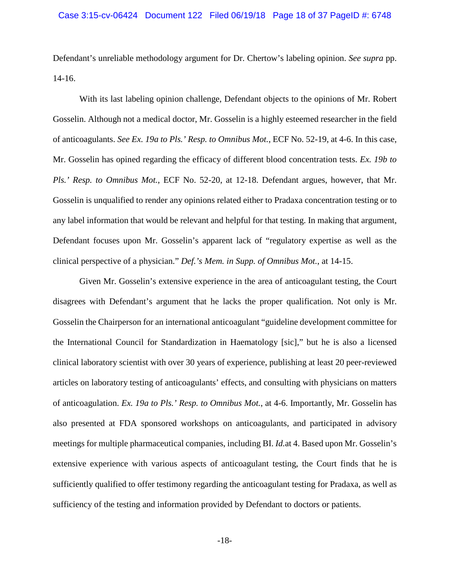Defendant's unreliable methodology argument for Dr. Chertow's labeling opinion. *See supra* pp. 14-16.

With its last labeling opinion challenge, Defendant objects to the opinions of Mr. Robert Gosselin. Although not a medical doctor, Mr. Gosselin is a highly esteemed researcher in the field of anticoagulants. *See Ex. 19a to Pls.' Resp. to Omnibus Mot.*, ECF No. 52-19, at 4-6. In this case, Mr. Gosselin has opined regarding the efficacy of different blood concentration tests. *Ex. 19b to Pls.' Resp. to Omnibus Mot.*, ECF No. 52-20, at 12-18. Defendant argues, however, that Mr. Gosselin is unqualified to render any opinions related either to Pradaxa concentration testing or to any label information that would be relevant and helpful for that testing. In making that argument, Defendant focuses upon Mr. Gosselin's apparent lack of "regulatory expertise as well as the clinical perspective of a physician." *Def.'s Mem. in Supp. of Omnibus Mot.*, at 14-15.

Given Mr. Gosselin's extensive experience in the area of anticoagulant testing, the Court disagrees with Defendant's argument that he lacks the proper qualification. Not only is Mr. Gosselin the Chairperson for an international anticoagulant "guideline development committee for the International Council for Standardization in Haematology [sic]," but he is also a licensed clinical laboratory scientist with over 30 years of experience, publishing at least 20 peer-reviewed articles on laboratory testing of anticoagulants' effects, and consulting with physicians on matters of anticoagulation. *Ex. 19a to Pls.' Resp. to Omnibus Mot.*, at 4-6. Importantly, Mr. Gosselin has also presented at FDA sponsored workshops on anticoagulants, and participated in advisory meetings for multiple pharmaceutical companies, including BI. *Id.*at 4. Based upon Mr. Gosselin's extensive experience with various aspects of anticoagulant testing, the Court finds that he is sufficiently qualified to offer testimony regarding the anticoagulant testing for Pradaxa, as well as sufficiency of the testing and information provided by Defendant to doctors or patients.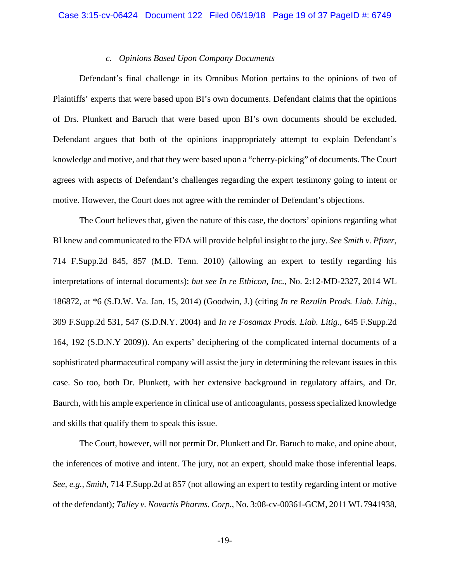## *c. Opinions Based Upon Company Documents*

Defendant's final challenge in its Omnibus Motion pertains to the opinions of two of Plaintiffs' experts that were based upon BI's own documents. Defendant claims that the opinions of Drs. Plunkett and Baruch that were based upon BI's own documents should be excluded. Defendant argues that both of the opinions inappropriately attempt to explain Defendant's knowledge and motive, and that they were based upon a "cherry-picking" of documents. The Court agrees with aspects of Defendant's challenges regarding the expert testimony going to intent or motive. However, the Court does not agree with the reminder of Defendant's objections.

The Court believes that, given the nature of this case, the doctors' opinions regarding what BI knew and communicated to the FDA will provide helpful insight to the jury. *See Smith v. Pfizer*, 714 F.Supp.2d 845, 857 (M.D. Tenn. 2010) (allowing an expert to testify regarding his interpretations of internal documents); *but see In re Ethicon, Inc.*, No. 2:12-MD-2327, 2014 WL 186872, at \*6 (S.D.W. Va. Jan. 15, 2014) (Goodwin, J.) (citing *In re Rezulin Prods. Liab. Litig.*, 309 F.Supp.2d 531, 547 (S.D.N.Y. 2004) and *In re Fosamax Prods. Liab. Litig.*, 645 F.Supp.2d 164, 192 (S.D.N.Y 2009)). An experts' deciphering of the complicated internal documents of a sophisticated pharmaceutical company will assist the jury in determining the relevant issues in this case. So too, both Dr. Plunkett, with her extensive background in regulatory affairs, and Dr. Baurch, with his ample experience in clinical use of anticoagulants, possess specialized knowledge and skills that qualify them to speak this issue.

The Court, however, will not permit Dr. Plunkett and Dr. Baruch to make, and opine about, the inferences of motive and intent. The jury, not an expert, should make those inferential leaps. *See, e.g.*, *Smith*, 714 F.Supp.2d at 857 (not allowing an expert to testify regarding intent or motive of the defendant)*; Talley v. Novartis Pharms. Corp.*, No. 3:08-cv-00361-GCM, 2011 WL 7941938,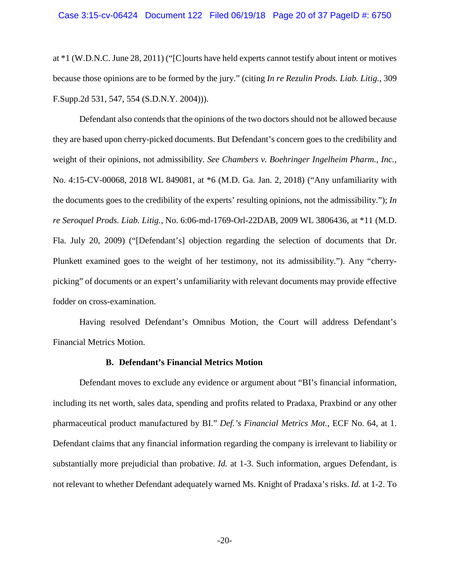at \*1 (W.D.N.C. June 28, 2011) ("[C]ourts have held experts cannot testify about intent or motives because those opinions are to be formed by the jury." (citing *In re Rezulin Prods. Liab. Litig.*, 309 F.Supp.2d 531, 547, 554 (S.D.N.Y. 2004))).

Defendant also contends that the opinions of the two doctors should not be allowed because they are based upon cherry-picked documents. But Defendant's concern goes to the credibility and weight of their opinions, not admissibility. *See Chambers v. Boehringer Ingelheim Pharm., Inc.*, No. 4:15-CV-00068, 2018 WL 849081, at \*6 (M.D. Ga. Jan. 2, 2018) ("Any unfamiliarity with the documents goes to the credibility of the experts' resulting opinions, not the admissibility."); *In re Seroquel Prods. Liab. Litig.*, No. 6:06-md-1769-Orl-22DAB, 2009 WL 3806436, at \*11 (M.D. Fla. July 20, 2009) ("[Defendant's] objection regarding the selection of documents that Dr. Plunkett examined goes to the weight of her testimony, not its admissibility."). Any "cherrypicking" of documents or an expert's unfamiliarity with relevant documents may provide effective fodder on cross-examination.

Having resolved Defendant's Omnibus Motion, the Court will address Defendant's Financial Metrics Motion.

#### **B. Defendant's Financial Metrics Motion**

Defendant moves to exclude any evidence or argument about "BI's financial information, including its net worth, sales data, spending and profits related to Pradaxa, Praxbind or any other pharmaceutical product manufactured by BI." *Def.'s Financial Metrics Mot.*, ECF No. 64, at 1. Defendant claims that any financial information regarding the company is irrelevant to liability or substantially more prejudicial than probative. *Id.* at 1-3. Such information, argues Defendant, is not relevant to whether Defendant adequately warned Ms. Knight of Pradaxa's risks. *Id.* at 1-2. To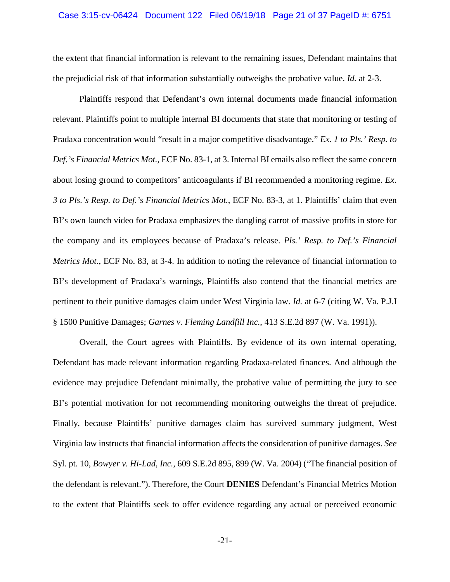### Case 3:15-cv-06424 Document 122 Filed 06/19/18 Page 21 of 37 PageID #: 6751

the extent that financial information is relevant to the remaining issues, Defendant maintains that the prejudicial risk of that information substantially outweighs the probative value. *Id.* at 2-3.

Plaintiffs respond that Defendant's own internal documents made financial information relevant. Plaintiffs point to multiple internal BI documents that state that monitoring or testing of Pradaxa concentration would "result in a major competitive disadvantage." *Ex. 1 to Pls.' Resp. to Def.'s Financial Metrics Mot.*, ECF No. 83-1, at 3. Internal BI emails also reflect the same concern about losing ground to competitors' anticoagulants if BI recommended a monitoring regime. *Ex. 3 to Pls.'s Resp. to Def.'s Financial Metrics Mot.*, ECF No. 83-3, at 1. Plaintiffs' claim that even BI's own launch video for Pradaxa emphasizes the dangling carrot of massive profits in store for the company and its employees because of Pradaxa's release. *Pls.' Resp. to Def.'s Financial Metrics Mot.*, ECF No. 83, at 3-4. In addition to noting the relevance of financial information to BI's development of Pradaxa's warnings, Plaintiffs also contend that the financial metrics are pertinent to their punitive damages claim under West Virginia law. *Id.* at 6-7 (citing W. Va. P.J.I § 1500 Punitive Damages; *Garnes v. Fleming Landfill Inc.*, 413 S.E.2d 897 (W. Va. 1991)).

Overall, the Court agrees with Plaintiffs. By evidence of its own internal operating, Defendant has made relevant information regarding Pradaxa-related finances. And although the evidence may prejudice Defendant minimally, the probative value of permitting the jury to see BI's potential motivation for not recommending monitoring outweighs the threat of prejudice. Finally, because Plaintiffs' punitive damages claim has survived summary judgment, West Virginia law instructs that financial information affects the consideration of punitive damages. *See*  Syl. pt. 10, *Bowyer v. Hi-Lad, Inc.*, 609 S.E.2d 895, 899 (W. Va. 2004) ("The financial position of the defendant is relevant."). Therefore, the Court **DENIES** Defendant's Financial Metrics Motion to the extent that Plaintiffs seek to offer evidence regarding any actual or perceived economic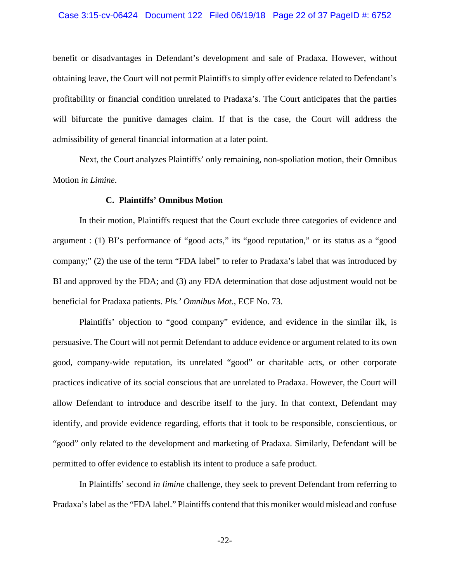### Case 3:15-cv-06424 Document 122 Filed 06/19/18 Page 22 of 37 PageID #: 6752

benefit or disadvantages in Defendant's development and sale of Pradaxa. However, without obtaining leave, the Court will not permit Plaintiffs to simply offer evidence related to Defendant's profitability or financial condition unrelated to Pradaxa's. The Court anticipates that the parties will bifurcate the punitive damages claim. If that is the case, the Court will address the admissibility of general financial information at a later point.

Next, the Court analyzes Plaintiffs' only remaining, non-spoliation motion, their Omnibus Motion *in Limine*.

### **C. Plaintiffs' Omnibus Motion**

In their motion, Plaintiffs request that the Court exclude three categories of evidence and argument : (1) BI's performance of "good acts," its "good reputation," or its status as a "good company;" (2) the use of the term "FDA label" to refer to Pradaxa's label that was introduced by BI and approved by the FDA; and (3) any FDA determination that dose adjustment would not be beneficial for Pradaxa patients. *Pls.' Omnibus Mot.*, ECF No. 73.

Plaintiffs' objection to "good company" evidence, and evidence in the similar ilk, is persuasive. The Court will not permit Defendant to adduce evidence or argument related to its own good, company-wide reputation, its unrelated "good" or charitable acts, or other corporate practices indicative of its social conscious that are unrelated to Pradaxa. However, the Court will allow Defendant to introduce and describe itself to the jury. In that context, Defendant may identify, and provide evidence regarding, efforts that it took to be responsible, conscientious, or "good" only related to the development and marketing of Pradaxa. Similarly, Defendant will be permitted to offer evidence to establish its intent to produce a safe product.

In Plaintiffs' second *in limine* challenge, they seek to prevent Defendant from referring to Pradaxa's label as the "FDA label." Plaintiffs contend that this moniker would mislead and confuse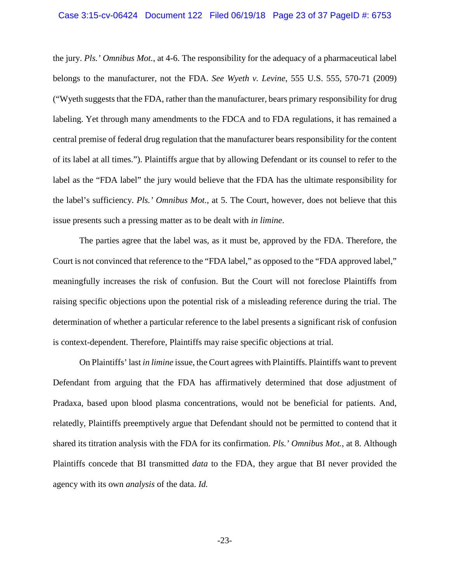the jury. *Pls.' Omnibus Mot.*, at 4-6. The responsibility for the adequacy of a pharmaceutical label belongs to the manufacturer, not the FDA. *See Wyeth v. Levine*, 555 U.S. 555, 570-71 (2009) ("Wyeth suggests that the FDA, rather than the manufacturer, bears primary responsibility for drug labeling. Yet through many amendments to the FDCA and to FDA regulations, it has remained a central premise of federal drug regulation that the manufacturer bears responsibility for the content of its label at all times."). Plaintiffs argue that by allowing Defendant or its counsel to refer to the label as the "FDA label" the jury would believe that the FDA has the ultimate responsibility for the label's sufficiency. *Pls.' Omnibus Mot.*, at 5. The Court, however, does not believe that this issue presents such a pressing matter as to be dealt with *in limine*.

The parties agree that the label was, as it must be, approved by the FDA. Therefore, the Court is not convinced that reference to the "FDA label," as opposed to the "FDA approved label," meaningfully increases the risk of confusion. But the Court will not foreclose Plaintiffs from raising specific objections upon the potential risk of a misleading reference during the trial. The determination of whether a particular reference to the label presents a significant risk of confusion is context-dependent. Therefore, Plaintiffs may raise specific objections at trial.

On Plaintiffs' last *in limine* issue, the Court agrees with Plaintiffs. Plaintiffs want to prevent Defendant from arguing that the FDA has affirmatively determined that dose adjustment of Pradaxa, based upon blood plasma concentrations, would not be beneficial for patients. And, relatedly, Plaintiffs preemptively argue that Defendant should not be permitted to contend that it shared its titration analysis with the FDA for its confirmation. *Pls.' Omnibus Mot.*, at 8. Although Plaintiffs concede that BI transmitted *data* to the FDA, they argue that BI never provided the agency with its own *analysis* of the data. *Id.*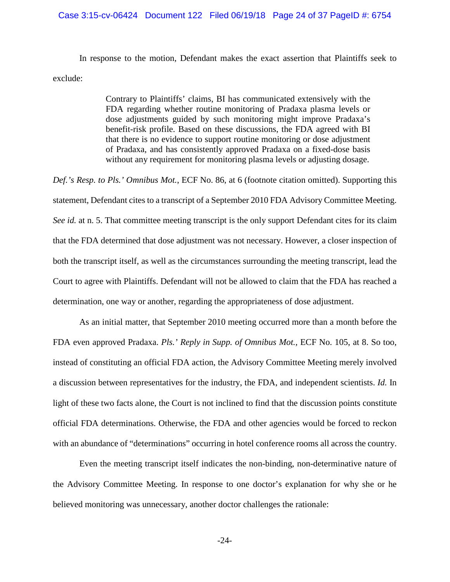In response to the motion, Defendant makes the exact assertion that Plaintiffs seek to exclude:

> Contrary to Plaintiffs' claims, BI has communicated extensively with the FDA regarding whether routine monitoring of Pradaxa plasma levels or dose adjustments guided by such monitoring might improve Pradaxa's benefit-risk profile. Based on these discussions, the FDA agreed with BI that there is no evidence to support routine monitoring or dose adjustment of Pradaxa, and has consistently approved Pradaxa on a fixed-dose basis without any requirement for monitoring plasma levels or adjusting dosage.

*Def.'s Resp. to Pls.' Omnibus Mot.*, ECF No. 86, at 6 (footnote citation omitted). Supporting this statement, Defendant cites to a transcript of a September 2010 FDA Advisory Committee Meeting. *See id.* at n. 5. That committee meeting transcript is the only support Defendant cites for its claim that the FDA determined that dose adjustment was not necessary. However, a closer inspection of both the transcript itself, as well as the circumstances surrounding the meeting transcript, lead the Court to agree with Plaintiffs. Defendant will not be allowed to claim that the FDA has reached a determination, one way or another, regarding the appropriateness of dose adjustment.

As an initial matter, that September 2010 meeting occurred more than a month before the FDA even approved Pradaxa. *Pls.' Reply in Supp. of Omnibus Mot.*, ECF No. 105, at 8. So too, instead of constituting an official FDA action, the Advisory Committee Meeting merely involved a discussion between representatives for the industry, the FDA, and independent scientists. *Id.* In light of these two facts alone, the Court is not inclined to find that the discussion points constitute official FDA determinations. Otherwise, the FDA and other agencies would be forced to reckon with an abundance of "determinations" occurring in hotel conference rooms all across the country.

Even the meeting transcript itself indicates the non-binding, non-determinative nature of the Advisory Committee Meeting. In response to one doctor's explanation for why she or he believed monitoring was unnecessary, another doctor challenges the rationale: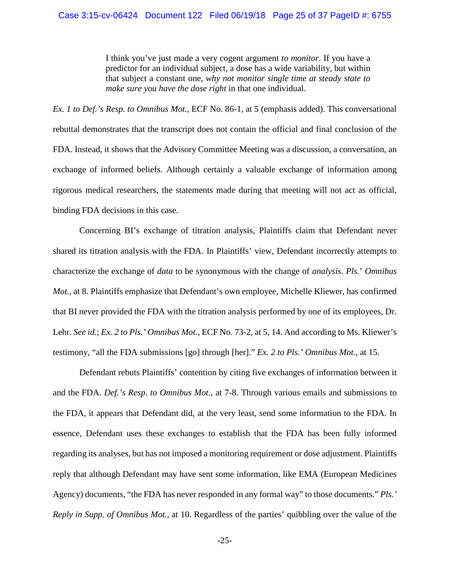### Case 3:15-cv-06424 Document 122 Filed 06/19/18 Page 25 of 37 PageID #: 6755

I think you've just made a very cogent argument *to monitor*. If you have a predictor for an individual subject, a dose has a wide variability, but within that subject a constant one, *why not monitor single time at steady state to make sure you have the dose right* in that one individual.

*Ex. 1 to Def.'s Resp. to Omnibus Mot.*, ECF No. 86-1, at 5 (emphasis added). This conversational rebuttal demonstrates that the transcript does not contain the official and final conclusion of the FDA. Instead, it shows that the Advisory Committee Meeting was a discussion, a conversation, an exchange of informed beliefs. Although certainly a valuable exchange of information among rigorous medical researchers, the statements made during that meeting will not act as official, binding FDA decisions in this case.

Concerning BI's exchange of titration analysis, Plaintiffs claim that Defendant never shared its titration analysis with the FDA. In Plaintiffs' view, Defendant incorrectly attempts to characterize the exchange of *data* to be synonymous with the change of *analysis*. *Pls.*' *Omnibus Mot.*, at 8. Plaintiffs emphasize that Defendant's own employee, Michelle Kliewer, has confirmed that BI never provided the FDA with the titration analysis performed by one of its employees, Dr. Lehr. *See id.*; *Ex. 2 to Pls.' Omnibus Mot.*, ECF No. 73-2, at 5, 14. And according to Ms. Kliewer's testimony, "all the FDA submissions [go] through [her]." *Ex. 2 to Pls.' Omnibus Mot.*, at 15.

Defendant rebuts Plaintiffs' contention by citing five exchanges of information between it and the FDA. *Def.'s Resp. to Omnibus Mot.*, at 7-8. Through various emails and submissions to the FDA, it appears that Defendant did, at the very least, send some information to the FDA. In essence, Defendant uses these exchanges to establish that the FDA has been fully informed regarding its analyses, but has not imposed a monitoring requirement or dose adjustment. Plaintiffs reply that although Defendant may have sent some information, like EMA (European Medicines Agency) documents, "the FDA has never responded in any formal way" to those documents." *Pls.' Reply in Supp. of Omnibus Mot.*, at 10. Regardless of the parties' quibbling over the value of the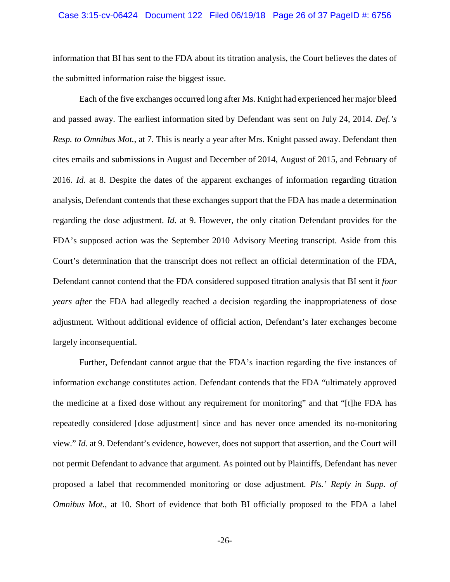### Case 3:15-cv-06424 Document 122 Filed 06/19/18 Page 26 of 37 PageID #: 6756

information that BI has sent to the FDA about its titration analysis, the Court believes the dates of the submitted information raise the biggest issue.

Each of the five exchanges occurred long after Ms. Knight had experienced her major bleed and passed away. The earliest information sited by Defendant was sent on July 24, 2014. *Def.'s Resp. to Omnibus Mot.*, at 7. This is nearly a year after Mrs. Knight passed away. Defendant then cites emails and submissions in August and December of 2014, August of 2015, and February of 2016. *Id.* at 8. Despite the dates of the apparent exchanges of information regarding titration analysis, Defendant contends that these exchanges support that the FDA has made a determination regarding the dose adjustment. *Id.* at 9. However, the only citation Defendant provides for the FDA's supposed action was the September 2010 Advisory Meeting transcript. Aside from this Court's determination that the transcript does not reflect an official determination of the FDA, Defendant cannot contend that the FDA considered supposed titration analysis that BI sent it *four years after* the FDA had allegedly reached a decision regarding the inappropriateness of dose adjustment. Without additional evidence of official action, Defendant's later exchanges become largely inconsequential.

Further, Defendant cannot argue that the FDA's inaction regarding the five instances of information exchange constitutes action. Defendant contends that the FDA "ultimately approved the medicine at a fixed dose without any requirement for monitoring" and that "[t]he FDA has repeatedly considered [dose adjustment] since and has never once amended its no-monitoring view." *Id.* at 9. Defendant's evidence, however, does not support that assertion, and the Court will not permit Defendant to advance that argument. As pointed out by Plaintiffs, Defendant has never proposed a label that recommended monitoring or dose adjustment. *Pls.' Reply in Supp. of Omnibus Mot.*, at 10. Short of evidence that both BI officially proposed to the FDA a label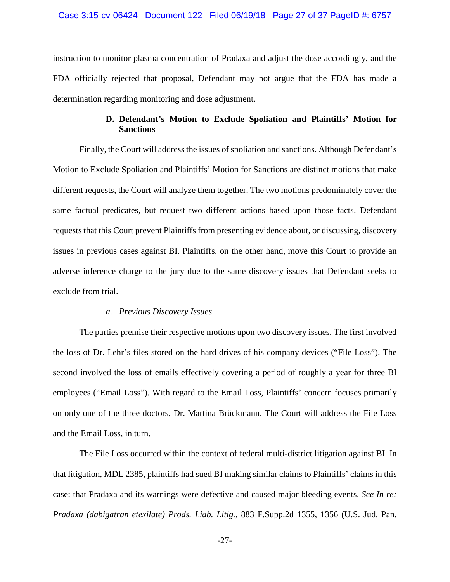instruction to monitor plasma concentration of Pradaxa and adjust the dose accordingly, and the FDA officially rejected that proposal, Defendant may not argue that the FDA has made a determination regarding monitoring and dose adjustment.

# **D. Defendant's Motion to Exclude Spoliation and Plaintiffs' Motion for Sanctions**

Finally, the Court will address the issues of spoliation and sanctions. Although Defendant's Motion to Exclude Spoliation and Plaintiffs' Motion for Sanctions are distinct motions that make different requests, the Court will analyze them together. The two motions predominately cover the same factual predicates, but request two different actions based upon those facts. Defendant requests that this Court prevent Plaintiffs from presenting evidence about, or discussing, discovery issues in previous cases against BI. Plaintiffs, on the other hand, move this Court to provide an adverse inference charge to the jury due to the same discovery issues that Defendant seeks to exclude from trial.

### *a. Previous Discovery Issues*

The parties premise their respective motions upon two discovery issues. The first involved the loss of Dr. Lehr's files stored on the hard drives of his company devices ("File Loss"). The second involved the loss of emails effectively covering a period of roughly a year for three BI employees ("Email Loss"). With regard to the Email Loss, Plaintiffs' concern focuses primarily on only one of the three doctors, Dr. Martina Brückmann. The Court will address the File Loss and the Email Loss, in turn.

The File Loss occurred within the context of federal multi-district litigation against BI. In that litigation, MDL 2385, plaintiffs had sued BI making similar claims to Plaintiffs' claims in this case: that Pradaxa and its warnings were defective and caused major bleeding events. *See In re: Pradaxa (dabigatran etexilate) Prods. Liab. Litig.*, 883 F.Supp.2d 1355, 1356 (U.S. Jud. Pan.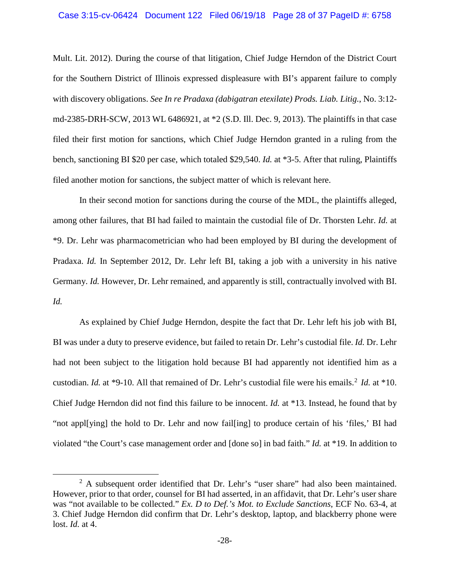### Case 3:15-cv-06424 Document 122 Filed 06/19/18 Page 28 of 37 PageID #: 6758

Mult. Lit. 2012). During the course of that litigation, Chief Judge Herndon of the District Court for the Southern District of Illinois expressed displeasure with BI's apparent failure to comply with discovery obligations. *See In re Pradaxa (dabigatran etexilate) Prods. Liab. Litig.*, No. 3:12 md-2385-DRH-SCW, 2013 WL 6486921, at \*2 (S.D. Ill. Dec. 9, 2013). The plaintiffs in that case filed their first motion for sanctions, which Chief Judge Herndon granted in a ruling from the bench, sanctioning BI \$20 per case, which totaled \$29,540. *Id.* at \*3-5. After that ruling, Plaintiffs filed another motion for sanctions, the subject matter of which is relevant here.

In their second motion for sanctions during the course of the MDL, the plaintiffs alleged, among other failures, that BI had failed to maintain the custodial file of Dr. Thorsten Lehr. *Id.* at \*9. Dr. Lehr was pharmacometrician who had been employed by BI during the development of Pradaxa. *Id.* In September 2012, Dr. Lehr left BI, taking a job with a university in his native Germany. *Id.* However, Dr. Lehr remained, and apparently is still, contractually involved with BI. *Id.*

As explained by Chief Judge Herndon, despite the fact that Dr. Lehr left his job with BI, BI was under a duty to preserve evidence, but failed to retain Dr. Lehr's custodial file. *Id.* Dr. Lehr had not been subject to the litigation hold because BI had apparently not identified him as a custodian. *Id.* at \*9-10. All that remained of Dr. Lehr's custodial file were his emails.<sup>2</sup> *Id.* at \*10. Chief Judge Herndon did not find this failure to be innocent. *Id.* at \*13. Instead, he found that by "not appl[ying] the hold to Dr. Lehr and now fail[ing] to produce certain of his 'files,' BI had violated "the Court's case management order and [done so] in bad faith." *Id.* at \*19. In addition to

<sup>&</sup>lt;sup>2</sup> A subsequent order identified that Dr. Lehr's "user share" had also been maintained. However, prior to that order, counsel for BI had asserted, in an affidavit, that Dr. Lehr's user share was "not available to be collected." *Ex. D to Def.'s Mot. to Exclude Sanctions*, ECF No. 63-4, at 3. Chief Judge Herndon did confirm that Dr. Lehr's desktop, laptop, and blackberry phone were lost. *Id.* at 4.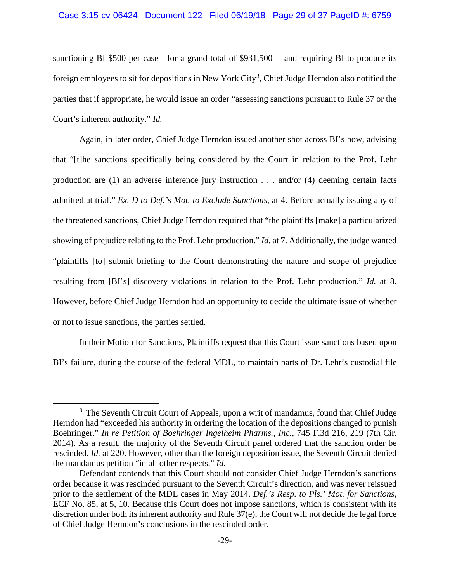### Case 3:15-cv-06424 Document 122 Filed 06/19/18 Page 29 of 37 PageID #: 6759

sanctioning BI \$500 per case—for a grand total of \$931,500— and requiring BI to produce its foreign employees to sit for depositions in New York City<sup>3</sup>, Chief Judge Herndon also notified the parties that if appropriate, he would issue an order "assessing sanctions pursuant to Rule 37 or the Court's inherent authority." *Id.*

Again, in later order, Chief Judge Herndon issued another shot across BI's bow, advising that "[t]he sanctions specifically being considered by the Court in relation to the Prof. Lehr production are (1) an adverse inference jury instruction . . . and/or (4) deeming certain facts admitted at trial." *Ex. D to Def.'s Mot. to Exclude Sanctions*, at 4. Before actually issuing any of the threatened sanctions, Chief Judge Herndon required that "the plaintiffs [make] a particularized showing of prejudice relating to the Prof. Lehr production." *Id.* at 7. Additionally, the judge wanted "plaintiffs [to] submit briefing to the Court demonstrating the nature and scope of prejudice resulting from [BI's] discovery violations in relation to the Prof. Lehr production." *Id.* at 8. However, before Chief Judge Herndon had an opportunity to decide the ultimate issue of whether or not to issue sanctions, the parties settled.

In their Motion for Sanctions, Plaintiffs request that this Court issue sanctions based upon BI's failure, during the course of the federal MDL, to maintain parts of Dr. Lehr's custodial file

<sup>&</sup>lt;sup>3</sup> The Seventh Circuit Court of Appeals, upon a writ of mandamus, found that Chief Judge Herndon had "exceeded his authority in ordering the location of the depositions changed to punish Boehringer." *In re Petition of Boehringer Ingelheim Pharms., Inc.*, 745 F.3d 216, 219 (7th Cir. 2014). As a result, the majority of the Seventh Circuit panel ordered that the sanction order be rescinded. *Id.* at 220. However, other than the foreign deposition issue, the Seventh Circuit denied the mandamus petition "in all other respects." *Id.*

Defendant contends that this Court should not consider Chief Judge Herndon's sanctions order because it was rescinded pursuant to the Seventh Circuit's direction, and was never reissued prior to the settlement of the MDL cases in May 2014. *Def.'s Resp. to Pls.' Mot. for Sanctions*, ECF No. 85, at 5, 10. Because this Court does not impose sanctions, which is consistent with its discretion under both its inherent authority and Rule 37(e), the Court will not decide the legal force of Chief Judge Herndon's conclusions in the rescinded order.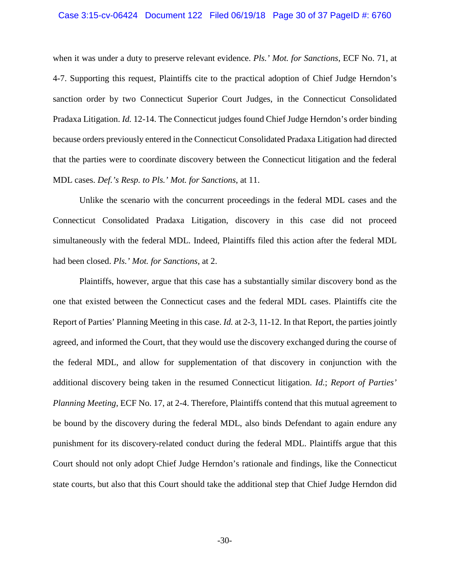### Case 3:15-cv-06424 Document 122 Filed 06/19/18 Page 30 of 37 PageID #: 6760

when it was under a duty to preserve relevant evidence. *Pls.' Mot. for Sanctions*, ECF No. 71, at 4-7. Supporting this request, Plaintiffs cite to the practical adoption of Chief Judge Herndon's sanction order by two Connecticut Superior Court Judges, in the Connecticut Consolidated Pradaxa Litigation. *Id.* 12-14. The Connecticut judges found Chief Judge Herndon's order binding because orders previously entered in the Connecticut Consolidated Pradaxa Litigation had directed that the parties were to coordinate discovery between the Connecticut litigation and the federal MDL cases. *Def.'s Resp. to Pls.' Mot. for Sanctions*, at 11.

Unlike the scenario with the concurrent proceedings in the federal MDL cases and the Connecticut Consolidated Pradaxa Litigation, discovery in this case did not proceed simultaneously with the federal MDL. Indeed, Plaintiffs filed this action after the federal MDL had been closed. *Pls.' Mot. for Sanctions*, at 2.

Plaintiffs, however, argue that this case has a substantially similar discovery bond as the one that existed between the Connecticut cases and the federal MDL cases. Plaintiffs cite the Report of Parties' Planning Meeting in this case. *Id.* at 2-3, 11-12. In that Report, the parties jointly agreed, and informed the Court, that they would use the discovery exchanged during the course of the federal MDL, and allow for supplementation of that discovery in conjunction with the additional discovery being taken in the resumed Connecticut litigation. *Id.*; *Report of Parties' Planning Meeting*, ECF No. 17, at 2-4. Therefore, Plaintiffs contend that this mutual agreement to be bound by the discovery during the federal MDL, also binds Defendant to again endure any punishment for its discovery-related conduct during the federal MDL. Plaintiffs argue that this Court should not only adopt Chief Judge Herndon's rationale and findings, like the Connecticut state courts, but also that this Court should take the additional step that Chief Judge Herndon did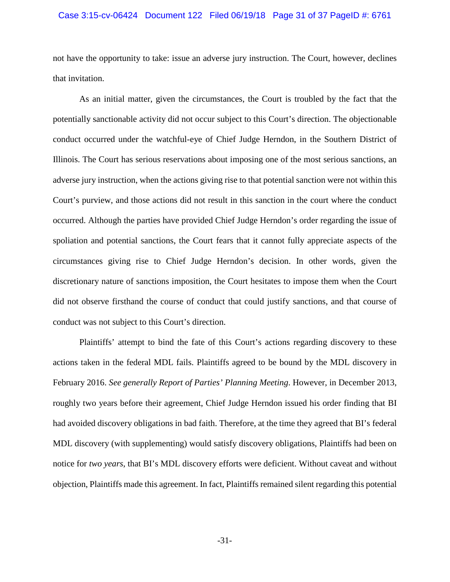### Case 3:15-cv-06424 Document 122 Filed 06/19/18 Page 31 of 37 PageID #: 6761

not have the opportunity to take: issue an adverse jury instruction. The Court, however, declines that invitation.

As an initial matter, given the circumstances, the Court is troubled by the fact that the potentially sanctionable activity did not occur subject to this Court's direction. The objectionable conduct occurred under the watchful-eye of Chief Judge Herndon, in the Southern District of Illinois. The Court has serious reservations about imposing one of the most serious sanctions, an adverse jury instruction, when the actions giving rise to that potential sanction were not within this Court's purview, and those actions did not result in this sanction in the court where the conduct occurred. Although the parties have provided Chief Judge Herndon's order regarding the issue of spoliation and potential sanctions, the Court fears that it cannot fully appreciate aspects of the circumstances giving rise to Chief Judge Herndon's decision. In other words, given the discretionary nature of sanctions imposition, the Court hesitates to impose them when the Court did not observe firsthand the course of conduct that could justify sanctions, and that course of conduct was not subject to this Court's direction.

Plaintiffs' attempt to bind the fate of this Court's actions regarding discovery to these actions taken in the federal MDL fails. Plaintiffs agreed to be bound by the MDL discovery in February 2016. *See generally Report of Parties' Planning Meeting*. However, in December 2013, roughly two years before their agreement, Chief Judge Herndon issued his order finding that BI had avoided discovery obligations in bad faith. Therefore, at the time they agreed that BI's federal MDL discovery (with supplementing) would satisfy discovery obligations, Plaintiffs had been on notice for *two years*, that BI's MDL discovery efforts were deficient. Without caveat and without objection, Plaintiffs made this agreement. In fact, Plaintiffs remained silent regarding this potential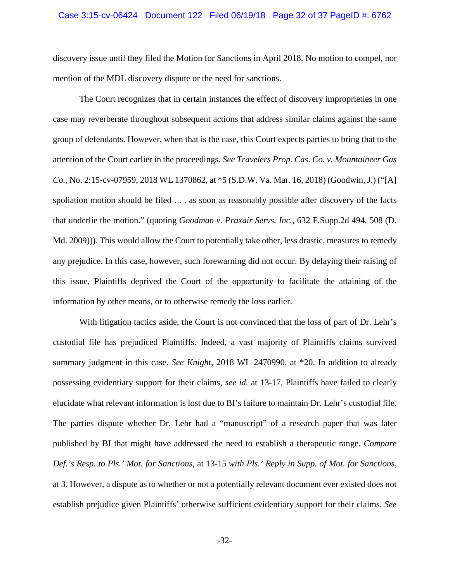### Case 3:15-cv-06424 Document 122 Filed 06/19/18 Page 32 of 37 PageID #: 6762

discovery issue until they filed the Motion for Sanctions in April 2018. No motion to compel, nor mention of the MDL discovery dispute or the need for sanctions.

The Court recognizes that in certain instances the effect of discovery improprieties in one case may reverberate throughout subsequent actions that address similar claims against the same group of defendants. However, when that is the case, this Court expects parties to bring that to the attention of the Court earlier in the proceedings. *See Travelers Prop. Cas. Co. v. Mountaineer Gas Co.*, No. 2:15-cv-07959, 2018 WL 1370862, at \*5 (S.D.W. Va. Mar. 16, 2018) (Goodwin, J.) ("[A] spoliation motion should be filed . . . as soon as reasonably possible after discovery of the facts that underlie the motion." (quoting *Goodman v. Praxair Servs. Inc.*, 632 F.Supp.2d 494, 508 (D. Md. 2009))). This would allow the Court to potentially take other, less drastic, measures to remedy any prejudice. In this case, however, such forewarning did not occur. By delaying their raising of this issue, Plaintiffs deprived the Court of the opportunity to facilitate the attaining of the information by other means, or to otherwise remedy the loss earlier.

With litigation tactics aside, the Court is not convinced that the loss of part of Dr. Lehr's custodial file has prejudiced Plaintiffs. Indeed, a vast majority of Plaintiffs claims survived summary judgment in this case. *See Knight*, 2018 WL 2470990, at \*20. In addition to already possessing evidentiary support for their claims, *see id.* at 13-17, Plaintiffs have failed to clearly elucidate what relevant information is lost due to BI's failure to maintain Dr. Lehr's custodial file. The parties dispute whether Dr. Lehr had a "manuscript" of a research paper that was later published by BI that might have addressed the need to establish a therapeutic range. *Compare Def.'s Resp. to Pls.' Mot. for Sanctions*, at 13-15 *with Pls.' Reply in Supp. of Mot. for Sanctions*, at 3. However, a dispute as to whether or not a potentially relevant document ever existed does not establish prejudice given Plaintiffs' otherwise sufficient evidentiary support for their claims. *See*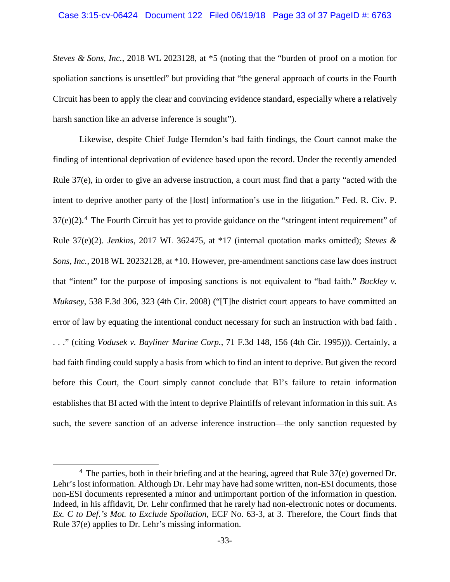*Steves & Sons, Inc.*, 2018 WL 2023128, at \*5 (noting that the "burden of proof on a motion for spoliation sanctions is unsettled" but providing that "the general approach of courts in the Fourth Circuit has been to apply the clear and convincing evidence standard, especially where a relatively harsh sanction like an adverse inference is sought").

Likewise, despite Chief Judge Herndon's bad faith findings, the Court cannot make the finding of intentional deprivation of evidence based upon the record. Under the recently amended Rule 37(e), in order to give an adverse instruction, a court must find that a party "acted with the intent to deprive another party of the [lost] information's use in the litigation." Fed. R. Civ. P.  $37(e)(2)$ <sup>4</sup>. The Fourth Circuit has yet to provide guidance on the "stringent intent requirement" of Rule 37(e)(2). *Jenkins*, 2017 WL 362475, at \*17 (internal quotation marks omitted); *Steves & Sons, Inc.*, 2018 WL 20232128, at \*10. However, pre-amendment sanctions case law does instruct that "intent" for the purpose of imposing sanctions is not equivalent to "bad faith." *Buckley v. Mukasey*, 538 F.3d 306, 323 (4th Cir. 2008) ("[T]he district court appears to have committed an error of law by equating the intentional conduct necessary for such an instruction with bad faith . . . ." (citing *Vodusek v. Bayliner Marine Corp.*, 71 F.3d 148, 156 (4th Cir. 1995))). Certainly, a bad faith finding could supply a basis from which to find an intent to deprive. But given the record before this Court, the Court simply cannot conclude that BI's failure to retain information establishes that BI acted with the intent to deprive Plaintiffs of relevant information in this suit. As such, the severe sanction of an adverse inference instruction—the only sanction requested by

 $4$  The parties, both in their briefing and at the hearing, agreed that Rule 37(e) governed Dr. Lehr's lost information. Although Dr. Lehr may have had some written, non-ESI documents, those non-ESI documents represented a minor and unimportant portion of the information in question. Indeed, in his affidavit, Dr. Lehr confirmed that he rarely had non-electronic notes or documents. *Ex. C to Def.'s Mot. to Exclude Spoliation*, ECF No. 63-3, at 3. Therefore, the Court finds that Rule 37(e) applies to Dr. Lehr's missing information.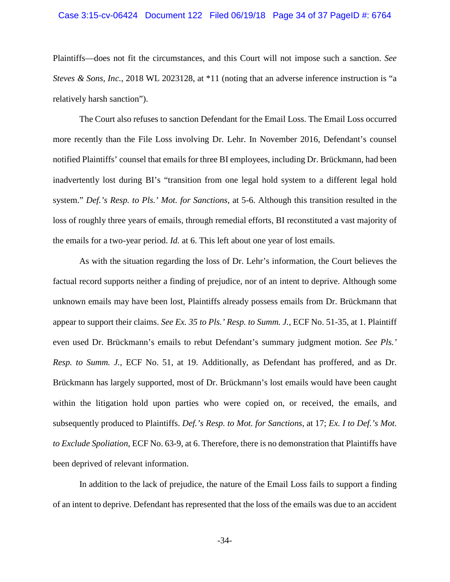### Case 3:15-cv-06424 Document 122 Filed 06/19/18 Page 34 of 37 PageID #: 6764

Plaintiffs—does not fit the circumstances, and this Court will not impose such a sanction. *See Steves & Sons, Inc.*, 2018 WL 2023128, at \*11 (noting that an adverse inference instruction is "a relatively harsh sanction").

The Court also refuses to sanction Defendant for the Email Loss. The Email Loss occurred more recently than the File Loss involving Dr. Lehr. In November 2016, Defendant's counsel notified Plaintiffs' counsel that emails for three BI employees, including Dr. Brückmann, had been inadvertently lost during BI's "transition from one legal hold system to a different legal hold system." *Def.'s Resp. to Pls.' Mot. for Sanctions*, at 5-6. Although this transition resulted in the loss of roughly three years of emails, through remedial efforts, BI reconstituted a vast majority of the emails for a two-year period. *Id.* at 6. This left about one year of lost emails.

As with the situation regarding the loss of Dr. Lehr's information, the Court believes the factual record supports neither a finding of prejudice, nor of an intent to deprive. Although some unknown emails may have been lost, Plaintiffs already possess emails from Dr. Brückmann that appear to support their claims. *See Ex. 35 to Pls.' Resp. to Summ. J.*, ECF No. 51-35, at 1. Plaintiff even used Dr. Brückmann's emails to rebut Defendant's summary judgment motion. *See Pls.' Resp. to Summ. J.*, ECF No. 51, at 19. Additionally, as Defendant has proffered, and as Dr. Brückmann has largely supported, most of Dr. Brückmann's lost emails would have been caught within the litigation hold upon parties who were copied on, or received, the emails, and subsequently produced to Plaintiffs. *Def.'s Resp. to Mot. for Sanctions*, at 17; *Ex. I to Def.'s Mot. to Exclude Spoliation*, ECF No. 63-9, at 6. Therefore, there is no demonstration that Plaintiffs have been deprived of relevant information.

In addition to the lack of prejudice, the nature of the Email Loss fails to support a finding of an intent to deprive. Defendant has represented that the loss of the emails was due to an accident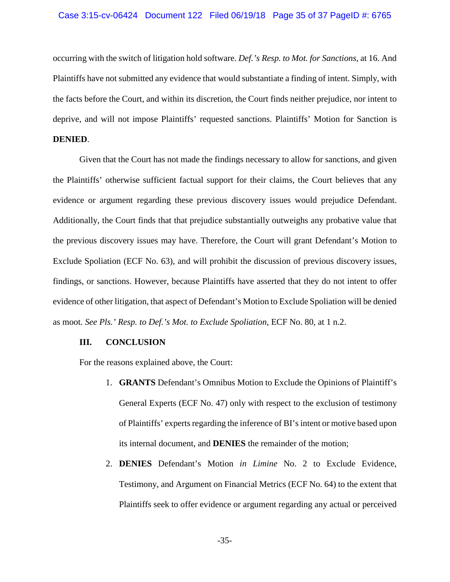occurring with the switch of litigation hold software. *Def.'s Resp. to Mot. for Sanctions*, at 16. And Plaintiffs have not submitted any evidence that would substantiate a finding of intent. Simply, with the facts before the Court, and within its discretion, the Court finds neither prejudice, nor intent to deprive, and will not impose Plaintiffs' requested sanctions. Plaintiffs' Motion for Sanction is **DENIED**.

Given that the Court has not made the findings necessary to allow for sanctions, and given the Plaintiffs' otherwise sufficient factual support for their claims, the Court believes that any evidence or argument regarding these previous discovery issues would prejudice Defendant. Additionally, the Court finds that that prejudice substantially outweighs any probative value that the previous discovery issues may have. Therefore, the Court will grant Defendant's Motion to Exclude Spoliation (ECF No. 63), and will prohibit the discussion of previous discovery issues, findings, or sanctions. However, because Plaintiffs have asserted that they do not intent to offer evidence of other litigation, that aspect of Defendant's Motion to Exclude Spoliation will be denied as moot. *See Pls.' Resp. to Def.'s Mot. to Exclude Spoliation*, ECF No. 80, at 1 n.2.

### **III. CONCLUSION**

For the reasons explained above, the Court:

- 1. **GRANTS** Defendant's Omnibus Motion to Exclude the Opinions of Plaintiff's General Experts (ECF No. 47) only with respect to the exclusion of testimony of Plaintiffs' experts regarding the inference of BI's intent or motive based upon its internal document, and **DENIES** the remainder of the motion;
- 2. **DENIES** Defendant's Motion *in Limine* No. 2 to Exclude Evidence, Testimony, and Argument on Financial Metrics (ECF No. 64) to the extent that Plaintiffs seek to offer evidence or argument regarding any actual or perceived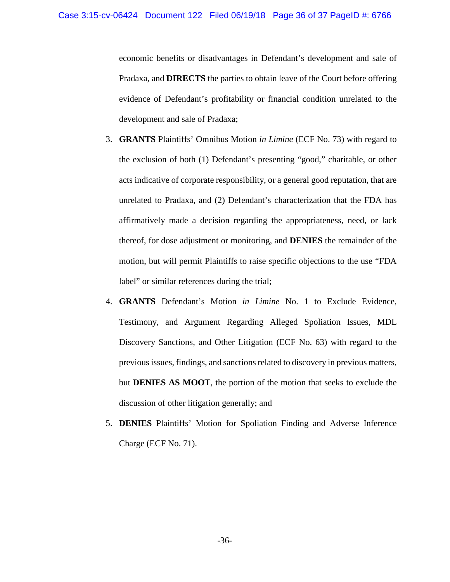economic benefits or disadvantages in Defendant's development and sale of Pradaxa, and **DIRECTS** the parties to obtain leave of the Court before offering evidence of Defendant's profitability or financial condition unrelated to the development and sale of Pradaxa;

- 3. **GRANTS** Plaintiffs' Omnibus Motion *in Limine* (ECF No. 73) with regard to the exclusion of both (1) Defendant's presenting "good," charitable, or other acts indicative of corporate responsibility, or a general good reputation, that are unrelated to Pradaxa, and (2) Defendant's characterization that the FDA has affirmatively made a decision regarding the appropriateness, need, or lack thereof, for dose adjustment or monitoring, and **DENIES** the remainder of the motion, but will permit Plaintiffs to raise specific objections to the use "FDA label" or similar references during the trial;
- 4. **GRANTS** Defendant's Motion *in Limine* No. 1 to Exclude Evidence, Testimony, and Argument Regarding Alleged Spoliation Issues, MDL Discovery Sanctions, and Other Litigation (ECF No. 63) with regard to the previous issues, findings, and sanctions related to discovery in previous matters, but **DENIES AS MOOT**, the portion of the motion that seeks to exclude the discussion of other litigation generally; and
- 5. **DENIES** Plaintiffs' Motion for Spoliation Finding and Adverse Inference Charge (ECF No. 71).